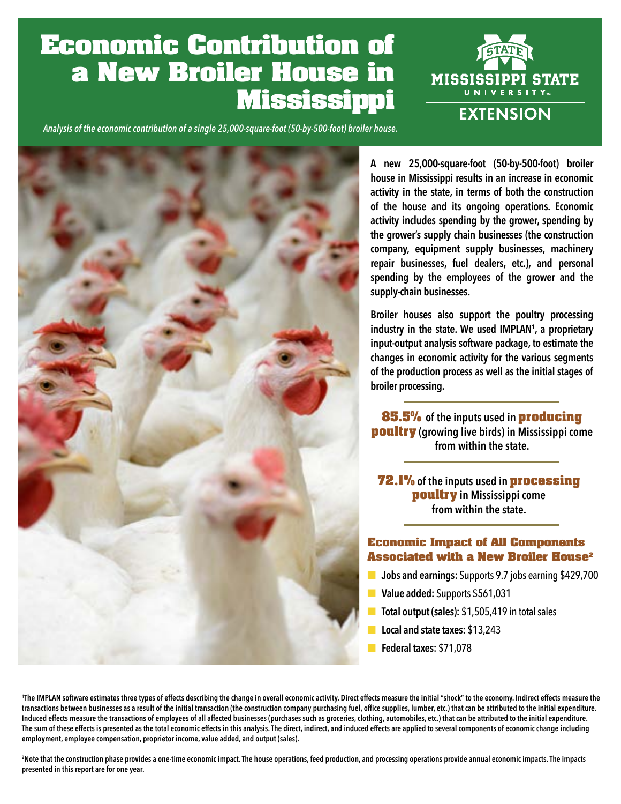# **Economic Contribution of a New Broiler House in Mississippi**



*Analysis of the economic contribution of a single 25,000-square-foot (50-by-500-foot) broiler house.*



**A new 25,000-square-foot (50-by-500-foot) broiler house in Mississippi results in an increase in economic activity in the state, in terms of both the construction of the house and its ongoing operations. Economic activity includes spending by the grower, spending by the grower's supply chain businesses (the construction company, equipment supply businesses, machinery repair businesses, fuel dealers, etc.), and personal spending by the employees of the grower and the supply-chain businesses.**

**Broiler houses also support the poultry processing industry in the state. We used IMPLAN1 , a proprietary input-output analysis software package, to estimate the changes in economic activity for the various segments of the production process as well as the initial stages of broiler processing.**

**85.5% of the inputs used in producing poultry (growing live birds) in Mississippi come from within the state.**

**72.1% of the inputs used in processing poultry in Mississippi come from within the state.**

## **Economic Impact of All Components Associated with a New Broiler House2**

- **Jobs and earnings:** Supports 9.7 jobs earning \$429,700
- **Value added:** Supports \$561,031
- **Total output (sales): \$1,505,419 in total sales**
- **Local and state taxes:** \$13,243
- **Federal taxes:** \$71,078

**1 The IMPLAN software estimates three types of effects describing the change in overall economic activity. Direct effects measure the initial "shock" to the economy. Indirect effects measure the transactions between businesses as a result of the initial transaction (the construction company purchasing fuel, office supplies, lumber, etc.) that can be attributed to the initial expenditure.**  Induced effects measure the transactions of employees of all affected businesses (purchases such as groceries, clothing, automobiles, etc.) that can be attributed to the initial expenditure. **The sum of these effects is presented as the total economic effects in this analysis. The direct, indirect, and induced effects are applied to several components of economic change including employment, employee compensation, proprietor income, value added, and output (sales).**

<sup>2</sup>Note that the construction phase provides a one-time economic impact. The house operations, feed production, and processing operations provide annual economic impacts. The impacts **presented in this report are for one year.**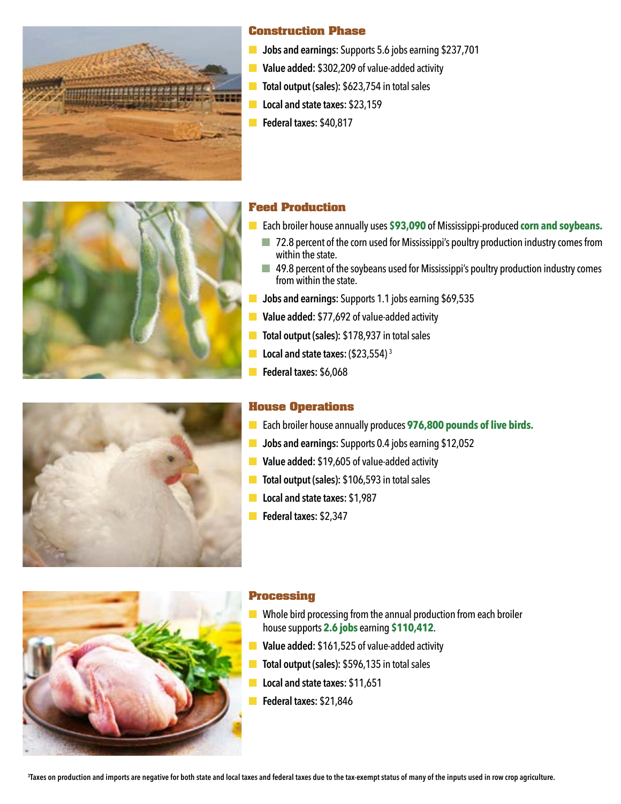

## **Construction Phase**

- **Jobs and earnings:** Supports 5.6 jobs earning \$237,701
- **Value added:** \$302,209 of value-added activity
- **Total output (sales): \$623,754 in total sales**
- **Local and state taxes: \$23,159**
- **Federal taxes:** \$40,817



# **Feed Production**

- Each broiler house annually uses \$93,090 of Mississippi-produced **corn and soybeans.** 
	- 72.8 percent of the corn used for Mississippi's poultry production industry comes from within the state.
	- 49.8 percent of the soybeans used for Mississippi's poultry production industry comes from within the state.
- **Jobs and earnings:** Supports 1.1 jobs earning \$69,535
- **Value added:** \$77,692 of value-added activity
- **Total output (sales): \$178,937 in total sales**
- **Local and state taxes:** (\$23,554)<sup>3</sup>
- **Federal taxes:** \$6,068

# **House Operations**

- Each broiler house annually produces 976,800 pounds of live birds.
- **Jobs and earnings:** Supports 0.4 jobs earning \$12,052
- **Value added:** \$19,605 of value-added activity
- **Total output (sales): \$106,593 in total sales**
- **Local and state taxes: \$1,987**
- **Federal taxes:** \$2,347



## **Processing**

- Whole bird processing from the annual production from each broiler house supports **2.6 jobs** earning **\$110,412**.
- **Value added:** \$161,525 of value-added activity
- **Total output (sales): \$596,135 in total sales**
- **Local and state taxes:** \$11,651
- **Federal taxes:** \$21,846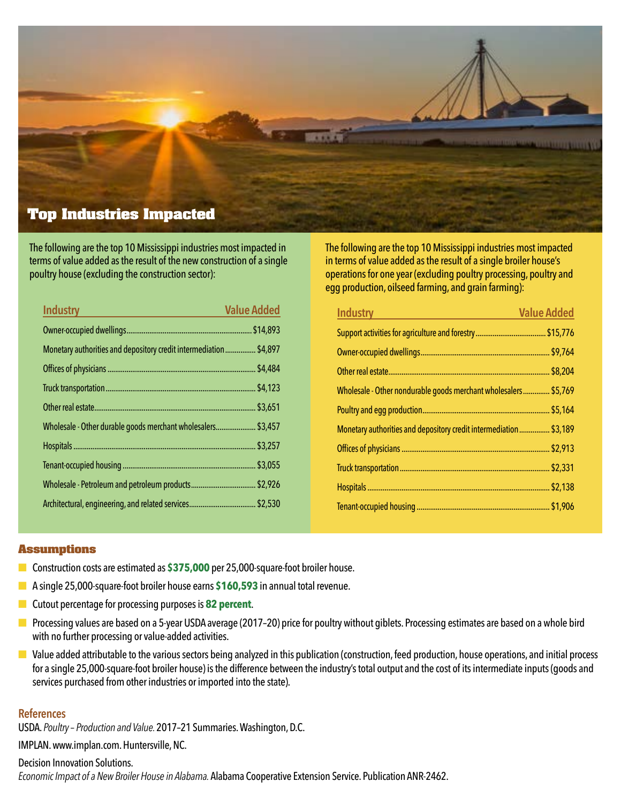

The following are the top 10 Mississippi industries most impacted in terms of value added as the result of the new construction of a single poultry house (excluding the construction sector):

| <b>Industry</b>                                                    | <b>Value Added</b> |
|--------------------------------------------------------------------|--------------------|
|                                                                    |                    |
| Monetary authorities and depository credit intermediation  \$4,897 |                    |
|                                                                    |                    |
|                                                                    |                    |
|                                                                    |                    |
| Wholesale - Other durable goods merchant wholesalers \$3,457       |                    |
|                                                                    |                    |
|                                                                    |                    |
|                                                                    |                    |
|                                                                    |                    |

The following are the top 10 Mississippi industries most impacted in terms of value added as the result of a single broiler house's operations for one year (excluding poultry processing, poultry and egg production, oilseed farming, and grain farming):

| <b>Industry</b>                                                   | <b>Value Added</b> |
|-------------------------------------------------------------------|--------------------|
|                                                                   |                    |
|                                                                   |                    |
|                                                                   |                    |
| Wholesale - Other nondurable goods merchant wholesalers \$5,769   |                    |
|                                                                   |                    |
| Monetary authorities and depository credit intermediation \$3,189 |                    |
|                                                                   |                    |
|                                                                   |                    |
|                                                                   |                    |
|                                                                   |                    |

#### **Assumptions**

- Construction costs are estimated as **\$375,000** per 25,000-square-foot broiler house.
- A single 25,000-square-foot broiler house earns **\$160,593** in annual total revenue.
- Cutout percentage for processing purposes is 82 percent.
- Processing values are based on a 5-year USDA average (2017–20) price for poultry without giblets. Processing estimates are based on a whole bird with no further processing or value-added activities.
- Value added attributable to the various sectors being analyzed in this publication (construction, feed production, house operations, and initial process for a single 25,000-square-foot broiler house) is the difference between the industry's total output and the cost of its intermediate inputs (goods and services purchased from other industries or imported into the state).

#### **References**

USDA. *Poultry – Production and Value.* 2017–21 Summaries. Washington, D.C.

IMPLAN. [www.implan.com.](http://www.implan.com) Huntersville, NC.

## Decision Innovation Solutions.

*Economic Impact of a New Broiler House in Alabama.* Alabama Cooperative Extension Service. Publication ANR-2462.